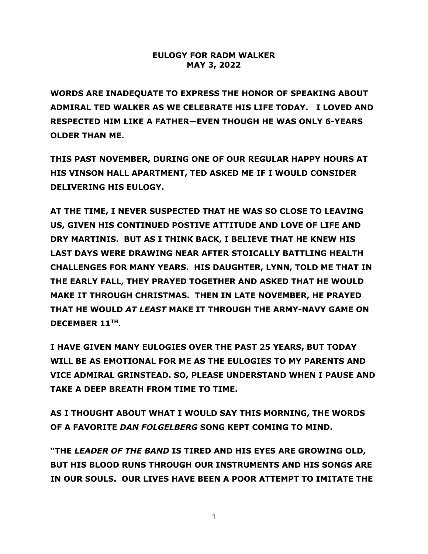## **EULOGY FOR RADM WALKER MAY 3, 2022**

**WORDS ARE INADEQUATE TO EXPRESS THE HONOR OF SPEAKING ABOUT ADMIRAL TED WALKER AS WE CELEBRATE HIS LIFE TODAY. I LOVED AND RESPECTED HIM LIKE A FATHER—EVEN THOUGH HE WAS ONLY 6-YEARS OLDER THAN ME.** 

**THIS PAST NOVEMBER, DURING ONE OF OUR REGULAR HAPPY HOURS AT HIS VINSON HALL APARTMENT, TED ASKED ME IF I WOULD CONSIDER DELIVERING HIS EULOGY.** 

**AT THE TIME, I NEVER SUSPECTED THAT HE WAS SO CLOSE TO LEAVING US, GIVEN HIS CONTINUED POSTIVE ATTITUDE AND LOVE OF LIFE AND DRY MARTINIS. BUT AS I THINK BACK, I BELIEVE THAT HE KNEW HIS LAST DAYS WERE DRAWING NEAR AFTER STOICALLY BATTLING HEALTH CHALLENGES FOR MANY YEARS. HIS DAUGHTER, LYNN, TOLD ME THAT IN THE EARLY FALL, THEY PRAYED TOGETHER AND ASKED THAT HE WOULD MAKE IT THROUGH CHRISTMAS. THEN IN LATE NOVEMBER, HE PRAYED THAT HE WOULD** *AT LEAST* **MAKE IT THROUGH THE ARMY-NAVY GAME ON DECEMBER 11TH.** 

**I HAVE GIVEN MANY EULOGIES OVER THE PAST 25 YEARS, BUT TODAY WILL BE AS EMOTIONAL FOR ME AS THE EULOGIES TO MY PARENTS AND VICE ADMIRAL GRINSTEAD. SO, PLEASE UNDERSTAND WHEN I PAUSE AND TAKE A DEEP BREATH FROM TIME TO TIME.**

**AS I THOUGHT ABOUT WHAT I WOULD SAY THIS MORNING, THE WORDS OF A FAVORITE** *DAN FOLGELBERG* **SONG KEPT COMING TO MIND.** 

**"THE** *LEADER OF THE BAND* **IS TIRED AND HIS EYES ARE GROWING OLD, BUT HIS BLOOD RUNS THROUGH OUR INSTRUMENTS AND HIS SONGS ARE IN OUR SOULS. OUR LIVES HAVE BEEN A POOR ATTEMPT TO IMITATE THE**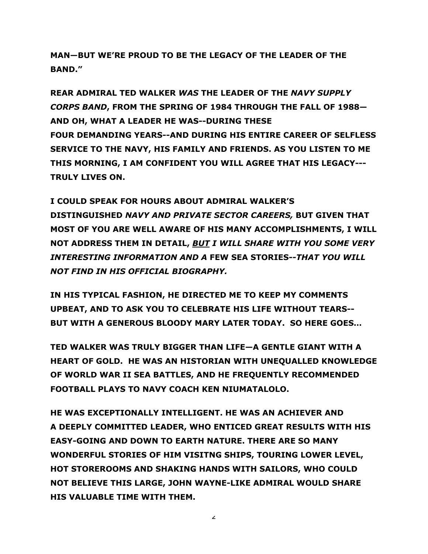**MAN—BUT WE'RE PROUD TO BE THE LEGACY OF THE LEADER OF THE BAND."**

**REAR ADMIRAL TED WALKER** *WAS* **THE LEADER OF THE** *NAVY SUPPLY CORPS BAND***, FROM THE SPRING OF 1984 THROUGH THE FALL OF 1988— AND OH, WHAT A LEADER HE WAS--DURING THESE FOUR DEMANDING YEARS--AND DURING HIS ENTIRE CAREER OF SELFLESS SERVICE TO THE NAVY, HIS FAMILY AND FRIENDS. AS YOU LISTEN TO ME THIS MORNING, I AM CONFIDENT YOU WILL AGREE THAT HIS LEGACY--- TRULY LIVES ON.** 

**I COULD SPEAK FOR HOURS ABOUT ADMIRAL WALKER'S DISTINGUISHED** *NAVY AND PRIVATE SECTOR CAREERS,* **BUT GIVEN THAT MOST OF YOU ARE WELL AWARE OF HIS MANY ACCOMPLISHMENTS, I WILL NOT ADDRESS THEM IN DETAIL,** *BUT I WILL SHARE WITH YOU SOME VERY INTERESTING INFORMATION AND A* **FEW SEA STORIES***--THAT YOU WILL NOT FIND IN HIS OFFICIAL BIOGRAPHY.*

**IN HIS TYPICAL FASHION, HE DIRECTED ME TO KEEP MY COMMENTS UPBEAT, AND TO ASK YOU TO CELEBRATE HIS LIFE WITHOUT TEARS-- BUT WITH A GENEROUS BLOODY MARY LATER TODAY. SO HERE GOES…**

**TED WALKER WAS TRULY BIGGER THAN LIFE—A GENTLE GIANT WITH A HEART OF GOLD. HE WAS AN HISTORIAN WITH UNEQUALLED KNOWLEDGE OF WORLD WAR II SEA BATTLES, AND HE FREQUENTLY RECOMMENDED FOOTBALL PLAYS TO NAVY COACH KEN NIUMATALOLO.**

**HE WAS EXCEPTIONALLY INTELLIGENT. HE WAS AN ACHIEVER AND A DEEPLY COMMITTED LEADER, WHO ENTICED GREAT RESULTS WITH HIS EASY-GOING AND DOWN TO EARTH NATURE. THERE ARE SO MANY WONDERFUL STORIES OF HIM VISITNG SHIPS, TOURING LOWER LEVEL, HOT STOREROOMS AND SHAKING HANDS WITH SAILORS, WHO COULD NOT BELIEVE THIS LARGE, JOHN WAYNE-LIKE ADMIRAL WOULD SHARE HIS VALUABLE TIME WITH THEM.** 

 $\mathbf{z}$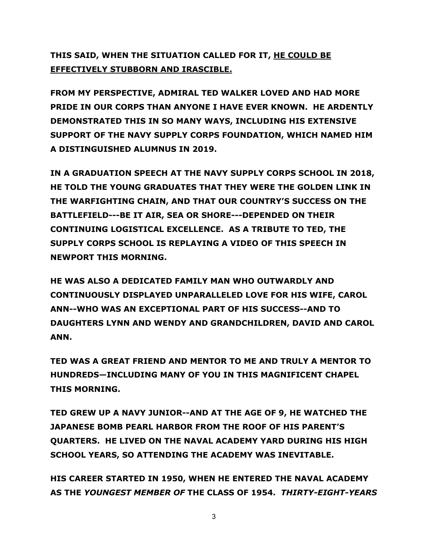## **THIS SAID, WHEN THE SITUATION CALLED FOR IT, HE COULD BE EFFECTIVELY STUBBORN AND IRASCIBLE.**

**FROM MY PERSPECTIVE, ADMIRAL TED WALKER LOVED AND HAD MORE PRIDE IN OUR CORPS THAN ANYONE I HAVE EVER KNOWN. HE ARDENTLY DEMONSTRATED THIS IN SO MANY WAYS, INCLUDING HIS EXTENSIVE SUPPORT OF THE NAVY SUPPLY CORPS FOUNDATION, WHICH NAMED HIM A DISTINGUISHED ALUMNUS IN 2019.**

**IN A GRADUATION SPEECH AT THE NAVY SUPPLY CORPS SCHOOL IN 2018, HE TOLD THE YOUNG GRADUATES THAT THEY WERE THE GOLDEN LINK IN THE WARFIGHTING CHAIN, AND THAT OUR COUNTRY'S SUCCESS ON THE BATTLEFIELD---BE IT AIR, SEA OR SHORE---DEPENDED ON THEIR CONTINUING LOGISTICAL EXCELLENCE. AS A TRIBUTE TO TED, THE SUPPLY CORPS SCHOOL IS REPLAYING A VIDEO OF THIS SPEECH IN NEWPORT THIS MORNING.** 

**HE WAS ALSO A DEDICATED FAMILY MAN WHO OUTWARDLY AND CONTINUOUSLY DISPLAYED UNPARALLELED LOVE FOR HIS WIFE, CAROL ANN--WHO WAS AN EXCEPTIONAL PART OF HIS SUCCESS--AND TO DAUGHTERS LYNN AND WENDY AND GRANDCHILDREN, DAVID AND CAROL ANN.** 

**TED WAS A GREAT FRIEND AND MENTOR TO ME AND TRULY A MENTOR TO HUNDREDS—INCLUDING MANY OF YOU IN THIS MAGNIFICENT CHAPEL THIS MORNING.**

**TED GREW UP A NAVY JUNIOR--AND AT THE AGE OF 9, HE WATCHED THE JAPANESE BOMB PEARL HARBOR FROM THE ROOF OF HIS PARENT'S QUARTERS. HE LIVED ON THE NAVAL ACADEMY YARD DURING HIS HIGH SCHOOL YEARS, SO ATTENDING THE ACADEMY WAS INEVITABLE.** 

**HIS CAREER STARTED IN 1950, WHEN HE ENTERED THE NAVAL ACADEMY AS THE** *YOUNGEST MEMBER OF* **THE CLASS OF 1954.** *THIRTY-EIGHT-YEARS*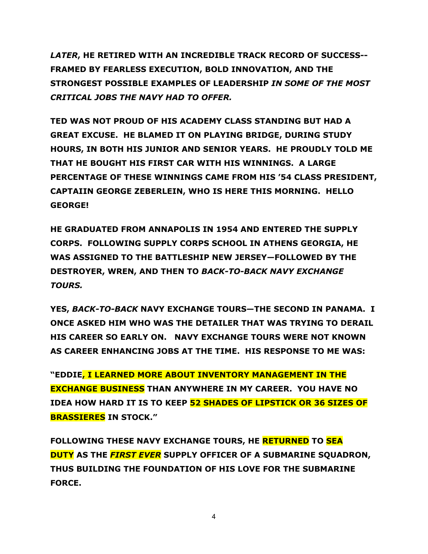*LATER***, HE RETIRED WITH AN INCREDIBLE TRACK RECORD OF SUCCESS-- FRAMED BY FEARLESS EXECUTION, BOLD INNOVATION, AND THE STRONGEST POSSIBLE EXAMPLES OF LEADERSHIP** *IN SOME OF THE MOST CRITICAL JOBS THE NAVY HAD TO OFFER.*

**TED WAS NOT PROUD OF HIS ACADEMY CLASS STANDING BUT HAD A GREAT EXCUSE. HE BLAMED IT ON PLAYING BRIDGE, DURING STUDY HOURS, IN BOTH HIS JUNIOR AND SENIOR YEARS. HE PROUDLY TOLD ME THAT HE BOUGHT HIS FIRST CAR WITH HIS WINNINGS. A LARGE PERCENTAGE OF THESE WINNINGS CAME FROM HIS '54 CLASS PRESIDENT, CAPTAIIN GEORGE ZEBERLEIN, WHO IS HERE THIS MORNING. HELLO GEORGE!**

**HE GRADUATED FROM ANNAPOLIS IN 1954 AND ENTERED THE SUPPLY CORPS. FOLLOWING SUPPLY CORPS SCHOOL IN ATHENS GEORGIA, HE WAS ASSIGNED TO THE BATTLESHIP NEW JERSEY—FOLLOWED BY THE DESTROYER, WREN, AND THEN TO** *BACK-TO-BACK NAVY EXCHANGE TOURS.*

**YES,** *BACK-TO-BACK* **NAVY EXCHANGE TOURS—THE SECOND IN PANAMA. I ONCE ASKED HIM WHO WAS THE DETAILER THAT WAS TRYING TO DERAIL HIS CAREER SO EARLY ON. NAVY EXCHANGE TOURS WERE NOT KNOWN AS CAREER ENHANCING JOBS AT THE TIME. HIS RESPONSE TO ME WAS:**

**"EDDIE, I LEARNED MORE ABOUT INVENTORY MANAGEMENT IN THE EXCHANGE BUSINESS THAN ANYWHERE IN MY CAREER. YOU HAVE NO IDEA HOW HARD IT IS TO KEEP 52 SHADES OF LIPSTICK OR 36 SIZES OF BRASSIERES IN STOCK."**

**FOLLOWING THESE NAVY EXCHANGE TOURS, HE RETURNED TO SEA DUTY AS THE** *FIRST EVER* **SUPPLY OFFICER OF A SUBMARINE SQUADRON, THUS BUILDING THE FOUNDATION OF HIS LOVE FOR THE SUBMARINE FORCE.**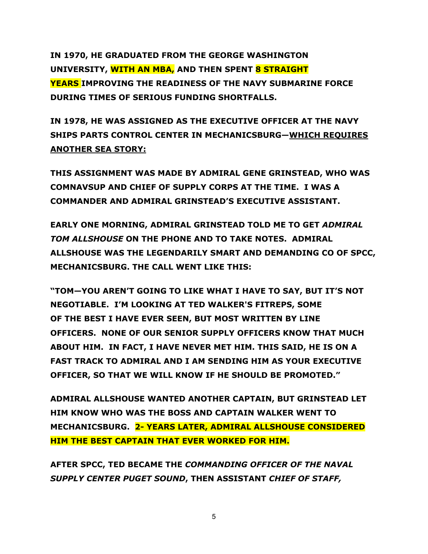**IN 1970, HE GRADUATED FROM THE GEORGE WASHINGTON UNIVERSITY, WITH AN MBA, AND THEN SPENT 8 STRAIGHT YEARS IMPROVING THE READINESS OF THE NAVY SUBMARINE FORCE DURING TIMES OF SERIOUS FUNDING SHORTFALLS.** 

**IN 1978, HE WAS ASSIGNED AS THE EXECUTIVE OFFICER AT THE NAVY SHIPS PARTS CONTROL CENTER IN MECHANICSBURG—WHICH REQUIRES ANOTHER SEA STORY:**

**THIS ASSIGNMENT WAS MADE BY ADMIRAL GENE GRINSTEAD, WHO WAS COMNAVSUP AND CHIEF OF SUPPLY CORPS AT THE TIME. I WAS A COMMANDER AND ADMIRAL GRINSTEAD'S EXECUTIVE ASSISTANT.**

**EARLY ONE MORNING, ADMIRAL GRINSTEAD TOLD ME TO GET** *ADMIRAL TOM ALLSHOUSE* **ON THE PHONE AND TO TAKE NOTES. ADMIRAL ALLSHOUSE WAS THE LEGENDARILY SMART AND DEMANDING CO OF SPCC, MECHANICSBURG. THE CALL WENT LIKE THIS:**

**"TOM—YOU AREN'T GOING TO LIKE WHAT I HAVE TO SAY, BUT IT'S NOT NEGOTIABLE. I'M LOOKING AT TED WALKER'S FITREPS, SOME OF THE BEST I HAVE EVER SEEN, BUT MOST WRITTEN BY LINE OFFICERS. NONE OF OUR SENIOR SUPPLY OFFICERS KNOW THAT MUCH ABOUT HIM. IN FACT, I HAVE NEVER MET HIM. THIS SAID, HE IS ON A FAST TRACK TO ADMIRAL AND I AM SENDING HIM AS YOUR EXECUTIVE OFFICER, SO THAT WE WILL KNOW IF HE SHOULD BE PROMOTED."**

**ADMIRAL ALLSHOUSE WANTED ANOTHER CAPTAIN, BUT GRINSTEAD LET HIM KNOW WHO WAS THE BOSS AND CAPTAIN WALKER WENT TO MECHANICSBURG. 2- YEARS LATER, ADMIRAL ALLSHOUSE CONSIDERED HIM THE BEST CAPTAIN THAT EVER WORKED FOR HIM.**

**AFTER SPCC, TED BECAME THE** *COMMANDING OFFICER OF THE NAVAL SUPPLY CENTER PUGET SOUND***, THEN ASSISTANT** *CHIEF OF STAFF,*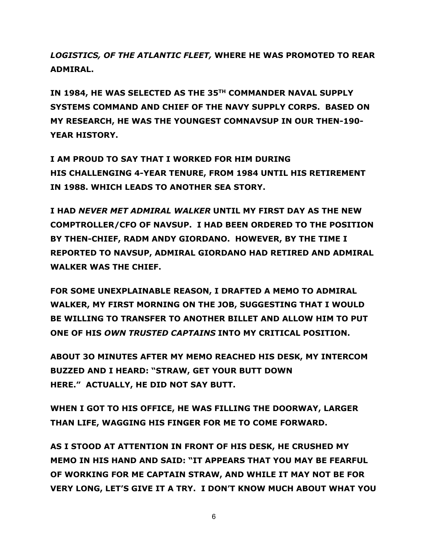*LOGISTICS, OF THE ATLANTIC FLEET,* **WHERE HE WAS PROMOTED TO REAR ADMIRAL.**

**IN 1984, HE WAS SELECTED AS THE 35TH COMMANDER NAVAL SUPPLY SYSTEMS COMMAND AND CHIEF OF THE NAVY SUPPLY CORPS. BASED ON MY RESEARCH, HE WAS THE YOUNGEST COMNAVSUP IN OUR THEN-190- YEAR HISTORY.**

**I AM PROUD TO SAY THAT I WORKED FOR HIM DURING HIS CHALLENGING 4-YEAR TENURE, FROM 1984 UNTIL HIS RETIREMENT IN 1988. WHICH LEADS TO ANOTHER SEA STORY.**

**I HAD** *NEVER MET ADMIRAL WALKER* **UNTIL MY FIRST DAY AS THE NEW COMPTROLLER/CFO OF NAVSUP. I HAD BEEN ORDERED TO THE POSITION BY THEN-CHIEF, RADM ANDY GIORDANO. HOWEVER, BY THE TIME I REPORTED TO NAVSUP, ADMIRAL GIORDANO HAD RETIRED AND ADMIRAL WALKER WAS THE CHIEF.**

**FOR SOME UNEXPLAINABLE REASON, I DRAFTED A MEMO TO ADMIRAL WALKER, MY FIRST MORNING ON THE JOB, SUGGESTING THAT I WOULD BE WILLING TO TRANSFER TO ANOTHER BILLET AND ALLOW HIM TO PUT ONE OF HIS** *OWN TRUSTED CAPTAINS* **INTO MY CRITICAL POSITION.**

**ABOUT 3O MINUTES AFTER MY MEMO REACHED HIS DESK, MY INTERCOM BUZZED AND I HEARD: "STRAW, GET YOUR BUTT DOWN HERE." ACTUALLY, HE DID NOT SAY BUTT.**

**WHEN I GOT TO HIS OFFICE, HE WAS FILLING THE DOORWAY, LARGER THAN LIFE, WAGGING HIS FINGER FOR ME TO COME FORWARD.**

**AS I STOOD AT ATTENTION IN FRONT OF HIS DESK, HE CRUSHED MY MEMO IN HIS HAND AND SAID: "IT APPEARS THAT YOU MAY BE FEARFUL OF WORKING FOR ME CAPTAIN STRAW, AND WHILE IT MAY NOT BE FOR VERY LONG, LET'S GIVE IT A TRY. I DON'T KNOW MUCH ABOUT WHAT YOU**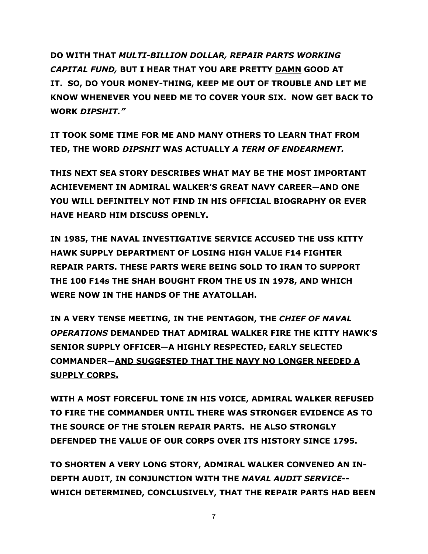**DO WITH THAT** *MULTI-BILLION DOLLAR, REPAIR PARTS WORKING CAPITAL FUND,* **BUT I HEAR THAT YOU ARE PRETTY DAMN GOOD AT IT. SO, DO YOUR MONEY-THING, KEEP ME OUT OF TROUBLE AND LET ME KNOW WHENEVER YOU NEED ME TO COVER YOUR SIX. NOW GET BACK TO WORK** *DIPSHIT."*

**IT TOOK SOME TIME FOR ME AND MANY OTHERS TO LEARN THAT FROM TED, THE WORD** *DIPSHIT* **WAS ACTUALLY** *A TERM OF ENDEARMENT.* 

**THIS NEXT SEA STORY DESCRIBES WHAT MAY BE THE MOST IMPORTANT ACHIEVEMENT IN ADMIRAL WALKER'S GREAT NAVY CAREER—AND ONE YOU WILL DEFINITELY NOT FIND IN HIS OFFICIAL BIOGRAPHY OR EVER HAVE HEARD HIM DISCUSS OPENLY.**

**IN 1985, THE NAVAL INVESTIGATIVE SERVICE ACCUSED THE USS KITTY HAWK SUPPLY DEPARTMENT OF LOSING HIGH VALUE F14 FIGHTER REPAIR PARTS. THESE PARTS WERE BEING SOLD TO IRAN TO SUPPORT THE 100 F14s THE SHAH BOUGHT FROM THE US IN 1978, AND WHICH WERE NOW IN THE HANDS OF THE AYATOLLAH.**

**IN A VERY TENSE MEETING, IN THE PENTAGON, THE** *CHIEF OF NAVAL OPERATIONS* **DEMANDED THAT ADMIRAL WALKER FIRE THE KITTY HAWK'S SENIOR SUPPLY OFFICER—A HIGHLY RESPECTED, EARLY SELECTED COMMANDER—AND SUGGESTED THAT THE NAVY NO LONGER NEEDED A SUPPLY CORPS.**

**WITH A MOST FORCEFUL TONE IN HIS VOICE, ADMIRAL WALKER REFUSED TO FIRE THE COMMANDER UNTIL THERE WAS STRONGER EVIDENCE AS TO THE SOURCE OF THE STOLEN REPAIR PARTS. HE ALSO STRONGLY DEFENDED THE VALUE OF OUR CORPS OVER ITS HISTORY SINCE 1795.**

**TO SHORTEN A VERY LONG STORY, ADMIRAL WALKER CONVENED AN IN-DEPTH AUDIT, IN CONJUNCTION WITH THE** *NAVAL AUDIT SERVICE***-- WHICH DETERMINED, CONCLUSIVELY, THAT THE REPAIR PARTS HAD BEEN**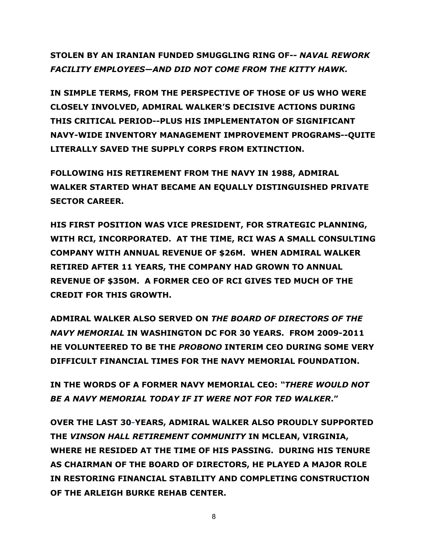**STOLEN BY AN IRANIAN FUNDED SMUGGLING RING OF--** *NAVAL REWORK FACILITY EMPLOYEES—AND DID NOT COME FROM THE KITTY HAWK.*

**IN SIMPLE TERMS, FROM THE PERSPECTIVE OF THOSE OF US WHO WERE CLOSELY INVOLVED, ADMIRAL WALKER'S DECISIVE ACTIONS DURING THIS CRITICAL PERIOD--PLUS HIS IMPLEMENTATON OF SIGNIFICANT NAVY-WIDE INVENTORY MANAGEMENT IMPROVEMENT PROGRAMS--QUITE LITERALLY SAVED THE SUPPLY CORPS FROM EXTINCTION.**

**FOLLOWING HIS RETIREMENT FROM THE NAVY IN 1988, ADMIRAL WALKER STARTED WHAT BECAME AN EQUALLY DISTINGUISHED PRIVATE SECTOR CAREER.**

**HIS FIRST POSITION WAS VICE PRESIDENT, FOR STRATEGIC PLANNING, WITH RCI, INCORPORATED. AT THE TIME, RCI WAS A SMALL CONSULTING COMPANY WITH ANNUAL REVENUE OF \$26M. WHEN ADMIRAL WALKER RETIRED AFTER 11 YEARS, THE COMPANY HAD GROWN TO ANNUAL REVENUE OF \$350M. A FORMER CEO OF RCI GIVES TED MUCH OF THE CREDIT FOR THIS GROWTH.**

**ADMIRAL WALKER ALSO SERVED ON** *THE BOARD OF DIRECTORS OF THE NAVY MEMORIAL* **IN WASHINGTON DC FOR 30 YEARS. FROM 2009-2011 HE VOLUNTEERED TO BE THE** *PROBONO* **INTERIM CEO DURING SOME VERY DIFFICULT FINANCIAL TIMES FOR THE NAVY MEMORIAL FOUNDATION.**

**IN THE WORDS OF A FORMER NAVY MEMORIAL CEO:** *"THERE WOULD NOT BE A NAVY MEMORIAL TODAY IF IT WERE NOT FOR TED WALKER***."**

**OVER THE LAST 30-YEARS, ADMIRAL WALKER ALSO PROUDLY SUPPORTED THE** *VINSON HALL RETIREMENT COMMUNITY* **IN MCLEAN, VIRGINIA, WHERE HE RESIDED AT THE TIME OF HIS PASSING. DURING HIS TENURE AS CHAIRMAN OF THE BOARD OF DIRECTORS, HE PLAYED A MAJOR ROLE IN RESTORING FINANCIAL STABILITY AND COMPLETING CONSTRUCTION OF THE ARLEIGH BURKE REHAB CENTER.**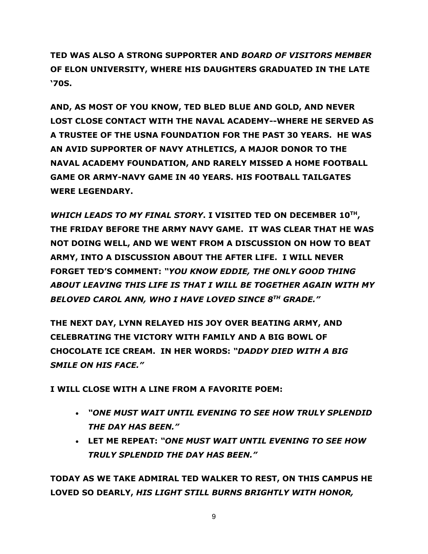**TED WAS ALSO A STRONG SUPPORTER AND** *BOARD OF VISITORS MEMBER* **OF ELON UNIVERSITY, WHERE HIS DAUGHTERS GRADUATED IN THE LATE '70S.** 

**AND, AS MOST OF YOU KNOW, TED BLED BLUE AND GOLD, AND NEVER LOST CLOSE CONTACT WITH THE NAVAL ACADEMY--WHERE HE SERVED AS A TRUSTEE OF THE USNA FOUNDATION FOR THE PAST 30 YEARS. HE WAS AN AVID SUPPORTER OF NAVY ATHLETICS, A MAJOR DONOR TO THE NAVAL ACADEMY FOUNDATION, AND RARELY MISSED A HOME FOOTBALL GAME OR ARMY-NAVY GAME IN 40 YEARS. HIS FOOTBALL TAILGATES WERE LEGENDARY.**

*WHICH LEADS TO MY FINAL STORY***. I VISITED TED ON DECEMBER 10TH, THE FRIDAY BEFORE THE ARMY NAVY GAME. IT WAS CLEAR THAT HE WAS NOT DOING WELL, AND WE WENT FROM A DISCUSSION ON HOW TO BEAT ARMY, INTO A DISCUSSION ABOUT THE AFTER LIFE. I WILL NEVER FORGET TED'S COMMENT:** *"YOU KNOW EDDIE, THE ONLY GOOD THING ABOUT LEAVING THIS LIFE IS THAT I WILL BE TOGETHER AGAIN WITH MY BELOVED CAROL ANN, WHO I HAVE LOVED SINCE 8TH GRADE."*

**THE NEXT DAY, LYNN RELAYED HIS JOY OVER BEATING ARMY, AND CELEBRATING THE VICTORY WITH FAMILY AND A BIG BOWL OF CHOCOLATE ICE CREAM. IN HER WORDS:** *"DADDY DIED WITH A BIG SMILE ON HIS FACE."*

**I WILL CLOSE WITH A LINE FROM A FAVORITE POEM:**

- *"ONE MUST WAIT UNTIL EVENING TO SEE HOW TRULY SPLENDID THE DAY HAS BEEN."*
- **LET ME REPEAT:** *"ONE MUST WAIT UNTIL EVENING TO SEE HOW TRULY SPLENDID THE DAY HAS BEEN."*

**TODAY AS WE TAKE ADMIRAL TED WALKER TO REST, ON THIS CAMPUS HE LOVED SO DEARLY,** *HIS LIGHT STILL BURNS BRIGHTLY WITH HONOR,*